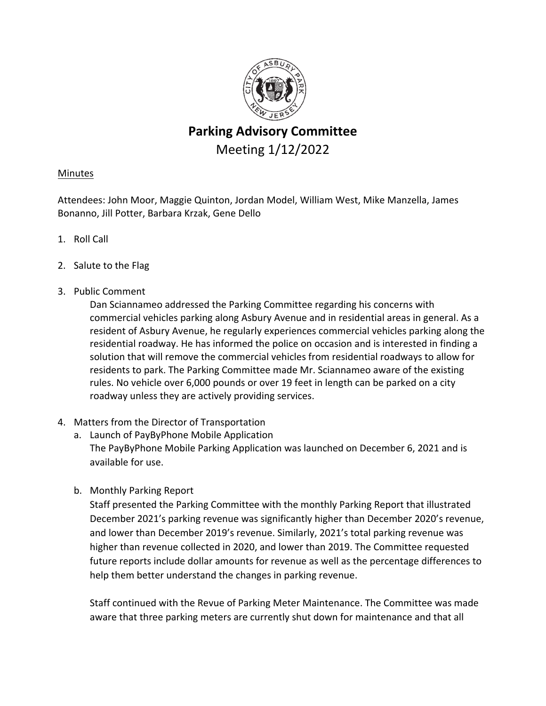

# **Parking Advisory Committee** Meeting 1/12/2022

## Minutes

Attendees: John Moor, Maggie Quinton, Jordan Model, William West, Mike Manzella, James Bonanno, Jill Potter, Barbara Krzak, Gene Dello

- 1. Roll Call
- 2. Salute to the Flag
- 3. Public Comment

Dan Sciannameo addressed the Parking Committee regarding his concerns with commercial vehicles parking along Asbury Avenue and in residential areas in general. As a resident of Asbury Avenue, he regularly experiences commercial vehicles parking along the residential roadway. He has informed the police on occasion and is interested in finding a solution that will remove the commercial vehicles from residential roadways to allow for residents to park. The Parking Committee made Mr. Sciannameo aware of the existing rules. No vehicle over 6,000 pounds or over 19 feet in length can be parked on a city roadway unless they are actively providing services.

- 4. Matters from the Director of Transportation
	- a. Launch of PayByPhone Mobile Application The PayByPhone Mobile Parking Application was launched on December 6, 2021 and is available for use.
	- b. Monthly Parking Report

Staff presented the Parking Committee with the monthly Parking Report that illustrated December 2021's parking revenue was significantly higher than December 2020's revenue, and lower than December 2019's revenue. Similarly, 2021's total parking revenue was higher than revenue collected in 2020, and lower than 2019. The Committee requested future reports include dollar amounts for revenue as well as the percentage differences to help them better understand the changes in parking revenue.

Staff continued with the Revue of Parking Meter Maintenance. The Committee was made aware that three parking meters are currently shut down for maintenance and that all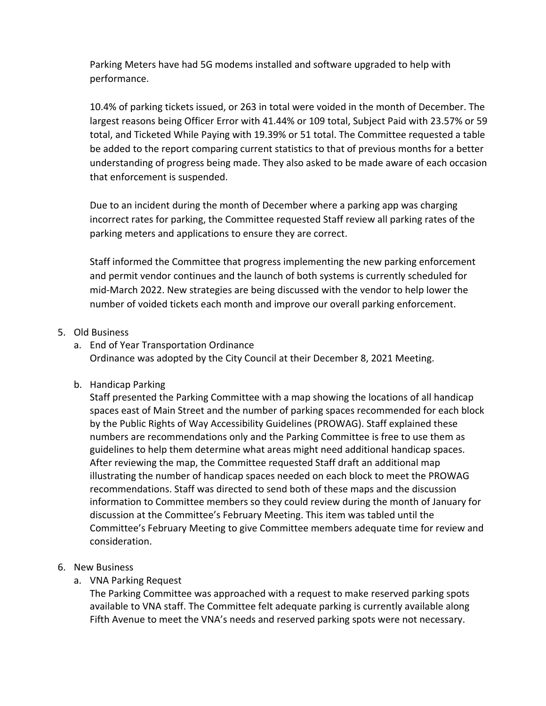Parking Meters have had 5G modems installed and software upgraded to help with performance.

10.4% of parking tickets issued, or 263 in total were voided in the month of December. The largest reasons being Officer Error with 41.44% or 109 total, Subject Paid with 23.57% or 59 total, and Ticketed While Paying with 19.39% or 51 total. The Committee requested a table be added to the report comparing current statistics to that of previous months for a better understanding of progress being made. They also asked to be made aware of each occasion that enforcement is suspended.

Due to an incident during the month of December where a parking app was charging incorrect rates for parking, the Committee requested Staff review all parking rates of the parking meters and applications to ensure they are correct.

Staff informed the Committee that progress implementing the new parking enforcement and permit vendor continues and the launch of both systems is currently scheduled for mid‐March 2022. New strategies are being discussed with the vendor to help lower the number of voided tickets each month and improve our overall parking enforcement.

## 5. Old Business

- a. End of Year Transportation Ordinance Ordinance was adopted by the City Council at their December 8, 2021 Meeting.
- b. Handicap Parking

Staff presented the Parking Committee with a map showing the locations of all handicap spaces east of Main Street and the number of parking spaces recommended for each block by the Public Rights of Way Accessibility Guidelines (PROWAG). Staff explained these numbers are recommendations only and the Parking Committee is free to use them as guidelines to help them determine what areas might need additional handicap spaces. After reviewing the map, the Committee requested Staff draft an additional map illustrating the number of handicap spaces needed on each block to meet the PROWAG recommendations. Staff was directed to send both of these maps and the discussion information to Committee members so they could review during the month of January for discussion at the Committee's February Meeting. This item was tabled until the Committee's February Meeting to give Committee members adequate time for review and consideration.

- 6. New Business
	- a. VNA Parking Request

The Parking Committee was approached with a request to make reserved parking spots available to VNA staff. The Committee felt adequate parking is currently available along Fifth Avenue to meet the VNA's needs and reserved parking spots were not necessary.